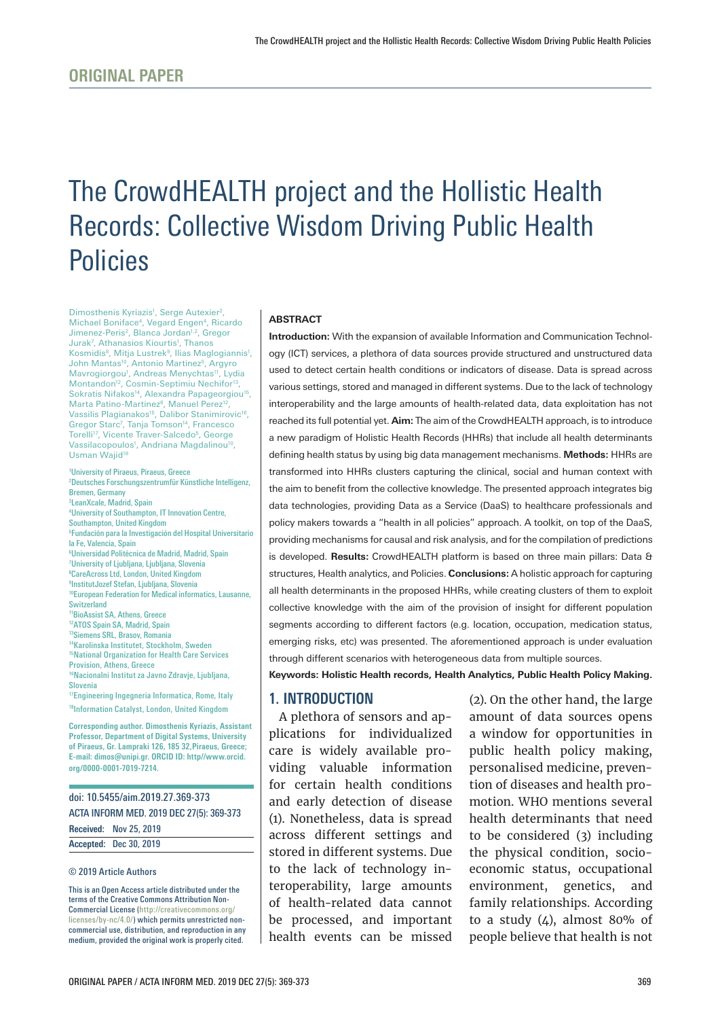# The CrowdHEALTH project and the Hollistic Health Records: Collective Wisdom Driving Public Health Policies

Dimosthenis Kyriazis<sup>1</sup>, Serge Autexier<sup>2</sup>, Michael Boniface<sup>4</sup>, Vegard Engen<sup>4</sup>, Ricardo Jimenez-Peris<sup>2</sup>, Blanca Jordan<sup>1,2</sup>, Gregor Jurak<sup>7</sup> , Athanasios Kiourtis1 , Thanos Kosmidis<sup>8</sup>, Mitja Lustrek<sup>9</sup>, Ilias Maglogiannis<sup>1</sup>, John Mantas<sup>10</sup>, Antonio Martinez<sup>5</sup>, Argyro Mavrogiorgou<sup>1</sup>, Andreas Menychtas<sup>11</sup>, Lydia Montandon<sup>12</sup>, Cosmin-Septimiu Nechifor<sup>13</sup> Sokratis Nifakos<sup>14</sup>, Alexandra Papageorgiou<sup>15</sup>, Marta Patino-Martinez<sup>6</sup>, Manuel Perez<sup>12</sup> Vassilis Plagianakos<sup>15</sup>, Dalibor Stanimirovic<sup>16</sup>, Gregor Starc<sup>7</sup>, Tanja Tomson<sup>14</sup>, Francesco Torelli<sup>17</sup>, Vicente Traver-Salcedo<sup>5</sup>, George Vassilacopoulos<sup>1</sup>, Andriana Magdalinou<sup>10</sup>, Usman Wajid<sup>18</sup>

1 University of Piraeus, Piraeus, Greece 2 Deutsches Forschungszentrumfür Künstliche Intelligenz, Bremen, Germany 3 LeanXcale, Madrid, Spain 4 University of Southampton, IT Innovation Centre, Southampton, United Kingdom 5 Fundación para la Investigación del Hospital Universitario la Fe, Valencia, Spain 6 Universidad Politécnica de Madrid, Madrid, Spain 7 University of Ljubljana, Ljubljana, Slovenia 8 CareAcross Ltd, London, United Kingdom 9 InstitutJozef Stefan, Ljubljana, Slovenia <sup>10</sup>European Federation for Medical informatics, Lausanne, **Switzerland** <sup>11</sup>BioAssist SA, Athens, Greece <sup>12</sup>ATOS Spain SA, Madrid, Spain 13Siemens SRL, Brasov, Romania 14Karolinska Institutet, Stockholm, Sweden 15National Organization for Health Care Services Provision, Athens, Greece <sup>16</sup>Nacionalni Institut za Javno Zdravje, Ljubljana, Slovenia <sup>17</sup>Engineering Ingegneria Informatica, Rome, Italy 18Information Catalyst, London, United Kingdom **Corresponding author. Dimosthenis Kyriazis, Assistant** 

**Professor, Department of Digital Systems, University of Piraeus, Gr. Lampraki 126, 185 32,Piraeus, Greece; E-mail: dimos@unipi.gr. ORCID ID: http//www.orcid. org/0000-0001-7019-7214.**

#### doi: 10.5455/aim.2019.27.369-373 ACTA INFORM MED. 2019 DEC 27(5): 369-373 **Received:** Nov 25, 2019 **Accepted:** Dec 30, 2019

#### © 2019 Article Authors

This is an Open Access article distributed under the terms of the Creative Commons Attribution Non-Commercial License (http://creativecommon licenses/by-nc/4.0/) which permits unrestricted noncommercial use, distribution, and reproduction in any medium, provided the original work is properly cited.

#### **ABSTRACT**

**Introduction:** With the expansion of available Information and Communication Technology (ICT) services, a plethora of data sources provide structured and unstructured data used to detect certain health conditions or indicators of disease. Data is spread across various settings, stored and managed in different systems. Due to the lack of technology interoperability and the large amounts of health-related data, data exploitation has not reached its full potential yet. **Aim:** The aim of the CrowdHEALTH approach, is to introduce a new paradigm of Holistic Health Records (HHRs) that include all health determinants defining health status by using big data management mechanisms. **Methods:** HHRs are transformed into HHRs clusters capturing the clinical, social and human context with the aim to benefit from the collective knowledge. The presented approach integrates big data technologies, providing Data as a Service (DaaS) to healthcare professionals and policy makers towards a "health in all policies" approach. A toolkit, on top of the DaaS, providing mechanisms for causal and risk analysis, and for the compilation of predictions is developed. **Results:** CrowdHEALTH platform is based on three main pillars: Data & structures, Health analytics, and Policies. **Conclusions:** A holistic approach for capturing all health determinants in the proposed HHRs, while creating clusters of them to exploit collective knowledge with the aim of the provision of insight for different population segments according to different factors (e.g. location, occupation, medication status, emerging risks, etc) was presented. The aforementioned approach is under evaluation through different scenarios with heterogeneous data from multiple sources.

**Keywords: Holistic Health records, Health Analytics, Public Health Policy Making.**

#### **1. INTRODUCTION**

A plethora of sensors and applications for individualized care is widely available providing valuable information for certain health conditions and early detection of disease (1). Nonetheless, data is spread across different settings and stored in different systems. Due to the lack of technology interoperability, large amounts of health-related data cannot be processed, and important health events can be missed (2). On the other hand, the large amount of data sources opens a window for opportunities in public health policy making, personalised medicine, prevention of diseases and health promotion. WHO mentions several health determinants that need to be considered (3) including the physical condition, socioeconomic status, occupational environment, genetics, and family relationships. According to a study  $(4)$ , almost 80% of people believe that health is not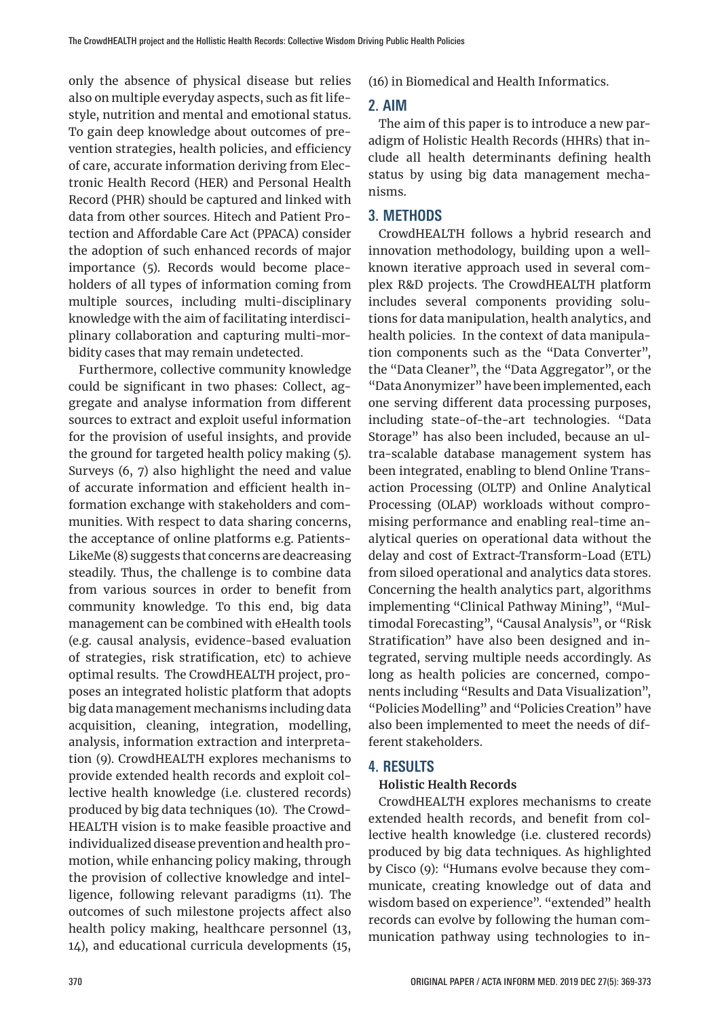only the absence of physical disease but relies also on multiple everyday aspects, such as fit lifestyle, nutrition and mental and emotional status. To gain deep knowledge about outcomes of prevention strategies, health policies, and efficiency of care, accurate information deriving from Electronic Health Record (HER) and Personal Health Record (PHR) should be captured and linked with data from other sources. Hitech and Patient Protection and Affordable Care Act (PPACA) consider the adoption of such enhanced records of major importance (5). Records would become placeholders of all types of information coming from multiple sources, including multi-disciplinary knowledge with the aim of facilitating interdisciplinary collaboration and capturing multi-morbidity cases that may remain undetected.

Furthermore, collective community knowledge could be significant in two phases: Collect, aggregate and analyse information from different sources to extract and exploit useful information for the provision of useful insights, and provide the ground for targeted health policy making (5). Surveys (6, 7) also highlight the need and value of accurate information and efficient health information exchange with stakeholders and communities. With respect to data sharing concerns, the acceptance of online platforms e.g. Patients-LikeMe (8) suggests that concerns are deacreasing steadily. Thus, the challenge is to combine data from various sources in order to benefit from community knowledge. To this end, big data management can be combined with eHealth tools (e.g. causal analysis, evidence-based evaluation of strategies, risk stratification, etc) to achieve optimal results. The CrowdHEALTH project, proposes an integrated holistic platform that adopts big data management mechanisms including data acquisition, cleaning, integration, modelling, analysis, information extraction and interpretation (9). CrowdHEALTH explores mechanisms to provide extended health records and exploit collective health knowledge (i.e. clustered records) produced by big data techniques (10). The Crowd-HEALTH vision is to make feasible proactive and individualized disease prevention and health promotion, while enhancing policy making, through the provision of collective knowledge and intelligence, following relevant paradigms (11). The outcomes of such milestone projects affect also health policy making, healthcare personnel (13, 14), and educational curricula developments (15,

(16) in Biomedical and Health Informatics.

## **2. AIM**

The aim of this paper is to introduce a new paradigm of Holistic Health Records (HHRs) that include all health determinants defining health status by using big data management mechanisms.

# **3. METHODS**

CrowdHEALTH follows a hybrid research and innovation methodology, building upon a wellknown iterative approach used in several complex R&D projects. The CrowdHEALTH platform includes several components providing solutions for data manipulation, health analytics, and health policies. In the context of data manipulation components such as the "Data Converter", the "Data Cleaner", the "Data Aggregator", or the "Data Anonymizer" have been implemented, each one serving different data processing purposes, including state-of-the-art technologies. "Data Storage" has also been included, because an ultra-scalable database management system has been integrated, enabling to blend Online Transaction Processing (OLTP) and Online Analytical Processing (OLAP) workloads without compromising performance and enabling real-time analytical queries on operational data without the delay and cost of Extract-Transform-Load (ETL) from siloed operational and analytics data stores. Concerning the health analytics part, algorithms implementing "Clinical Pathway Mining", "Multimodal Forecasting", "Causal Analysis", or "Risk Stratification" have also been designed and integrated, serving multiple needs accordingly. As long as health policies are concerned, components including "Results and Data Visualization", "Policies Modelling" and "Policies Creation" have also been implemented to meet the needs of different stakeholders.

# **4. RESULTS**

#### **Holistic Health Records**

CrowdHEALTH explores mechanisms to create extended health records, and benefit from collective health knowledge (i.e. clustered records) produced by big data techniques. As highlighted by Cisco (9): "Humans evolve because they communicate, creating knowledge out of data and wisdom based on experience". "extended" health records can evolve by following the human communication pathway using technologies to in-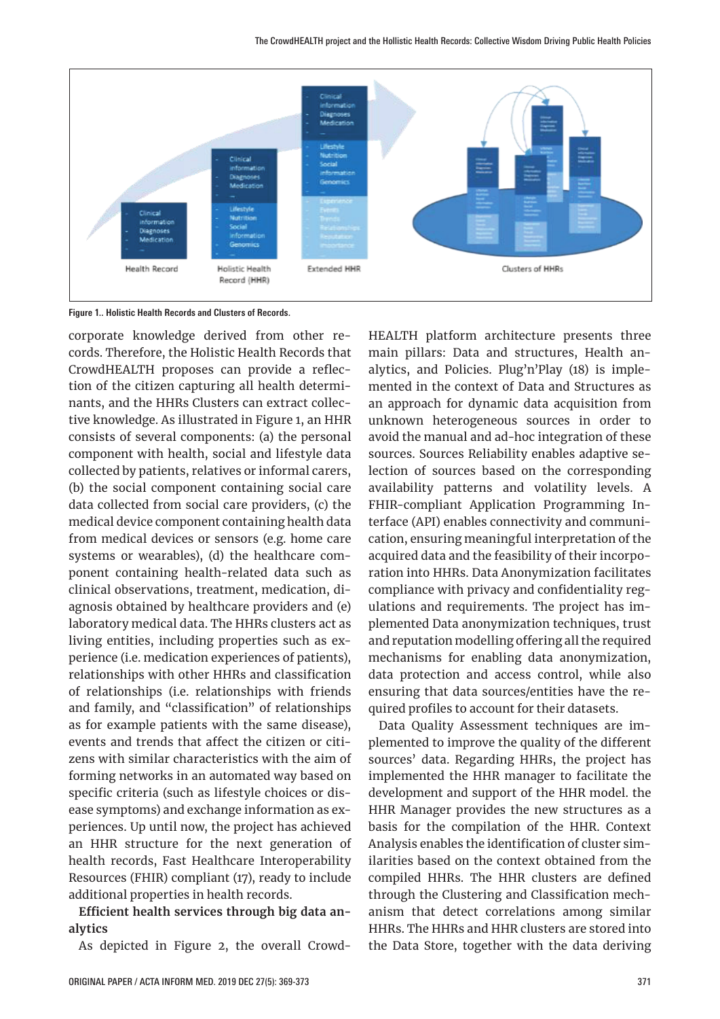

**Figure 1. Holistic Health Records and Clusters of Records. Figure 1.. Holistic Health Records and Clusters of Records.**

corporate knowledge derived from other records. Therefore, the Holistic Health Records that CrowdHEALTH proposes can provide a reflection of the citizen capturing all health determinants, and the HHRs Clusters can extract collective knowledge. As illustrated in Figure 1, an HHR consists of several components: (a) the personal component with health, social and lifestyle data collected by patients, relatives or informal carers, (b) the social component containing social care data collected from social care providers, (c) the medical device component containing health data from medical devices or sensors (e.g. home care systems or wearables), (d) the healthcare component containing health-related data such as clinical observations, treatment, medication, diagnosis obtained by healthcare providers and (e) ulations and requirements. The project has imlaboratory medical data. The HHRs clusters act as living entities, including properties such as experience (i.e. medication experiences of patients), relationships with other HHRs and classification data protection of relationships (i.e. relationships with friends and family, and "classification" of relationships as for example patients with the same disease), events and trends that affect the citizen or citi-**2.2.1.2. In the status with the characteristics with the aim of** sources' data. Regarding version with similar characteristics with the aim of sources' data. Regarding forming networks in an automated way based on specific criteria (such as lifestyle choices or disexperied the cross of the overall color as the overall crowdhealth platform and support of the fifth model, the<br>ease symptoms) and exchange information as ex-<br>HHR Manager provides the new structures as a periences. Up until now, the project has achieved an HHR structure for the next generation of health records, Fast Healthcare Interoperability Resources (FHIR) compliant (17), ready to include additional properties in health records. tion of the citizen capturing all health determi- mented in the context of Data and Structures as tive knowledge. As illustrated in Figure 1, an HHR and manual heterogeneous sources in order to the contract o<br>medications for party compared to the patients with the manual and classifications files in the state of the c component with nearth, social and mestyle data sources. Sources Renability enables adaptive se<br>collected by patients, relatives or informal carers, section of sources based on the corresponding FIRITE COMPUTER THE COMPUTER STATE OF EXAMPLE 2014 IN AN APPLICATION AND TO ALL THE SAME DISPONSITIONS OF A SA<br>data collected from social care providers, (c) the FHIR-compliant Application Programming Infrom medical devices or sensors (e.g. home care cation, ensuring meaningful interpretation of the ponent containing health-related data such as ration into HHRs. Data Anonymization facilitates living entities, including properties such as ex- and reputation modelling offering all the required the main pillar structure for the next generation of Analysis enables the identification of cluster sim-Resources (FHIR) compliant (17), ready to include compiled HHRs. The HHR clusters are defined

## **Efficient health services through big data analytics**

As depicted in Figure 2, the overall Crowd-As depicted in Figure 2, the overall Crowd-  $\;$  the Data Store, together with the data deriving

HEALTH platform architecture presents three main pillars: Data and structures, Health analytics, and Policies. Plug'n'Play (18) is implean approach for dynamic data acquisition from avoid the manual and ad-hoc integration of these sources. Sources Reliability enables adaptive seavailability patterns and volatility levels. A terface (API) enables connectivity and communiacquired data and the feasibility of their incorpocompliance with privacy and confidentiality regulations and requirements. The project has implemented Data anonymization techniques, trust mechanisms for enabling data anonymization, data protection and access control, while also ensuring that data sources/entities have the required profiles to account for their datasets.

Data Quality Assessment techniques are implemented to improve the quality of the different sources' data. Regarding HHRs, the project has implemented the HHR manager to facilitate the development and support of the HHR model. the HHR Manager provides the new structures as a basis for the compilation of the HHR. Context ilarities based on the context obtained from the through the Clustering and Classification mech-Efficient health services through big data an-<br>
anism that detect correlations among similar HHRs. The HHRs and HHR clusters are stored into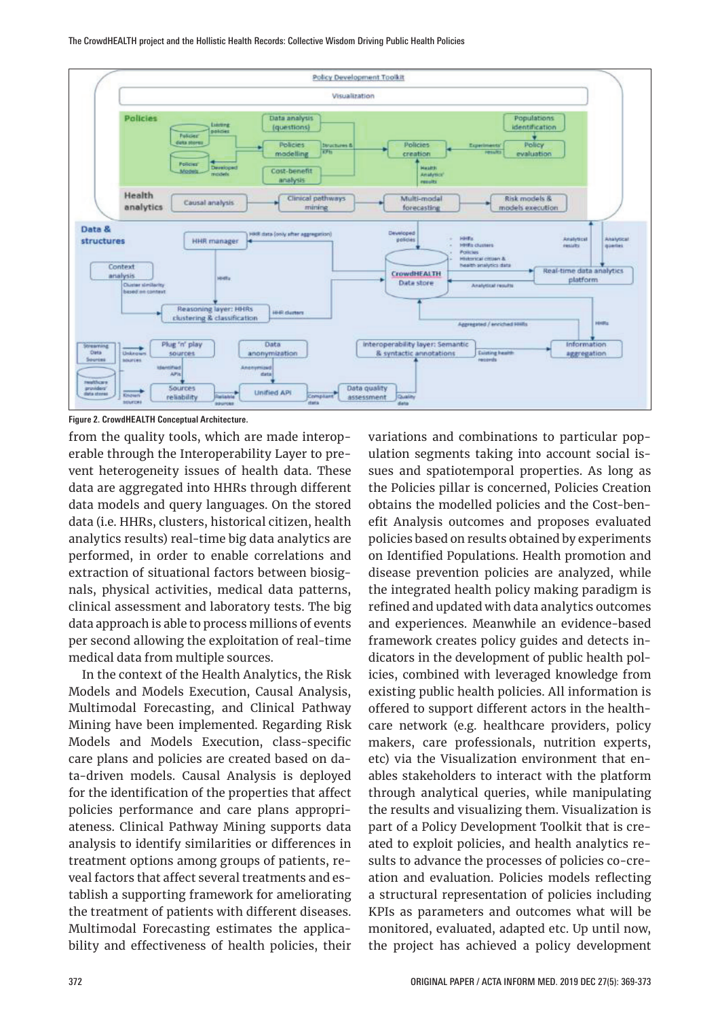

**Figure 2. CrowdHEALTH Conceptual Architecture.**

from the quality tools, which are made interoperable through the Interoperability Layer to pre- ulation segments taking vent heterogeneity issues of health data. These data are aggregated into HHRs through different data models and query languages. On the stored data (i.e. HHRs, clusters, historical citizen, health performed, in order to enable correlations and extraction of situational factors between biosignals, physical activities, medical data patterns, data approach is able to process millions of events per second allowing the exploitation of real-time medical data from multiple sources.

 In the context of the Health Analytics, the Risk Multimodal Forecasting, and Clinical Pathway Models and Models Execution, class-specific ta-driven models. Causal Analysis is deployed for the identification of the properties that affect ateness. Clinical Pathway Mining supports data treatment options among groups of patients, reveal factors that affect several treatments and establish a supporting framework for ameliorating Multimodal Forecasting estimates the applicability and effectiveness of health policies, their bility and effectiveness of health policies, their the project has achieved a policy development

analytics results) real-time big data analytics are policies based on results obtained by experiments clinical assessment and laboratory tests. The big refined and updated with data analytics outcomes<br>data composition black models illiens of courts-specific care planned and provided an analytics outcomes Models and Models Execution, Causal Analysis, existing public health policies. All information is Mining have been implemented. Regarding Risk care network (e.g. healthcare providers, policy care plans and policies are created based on da-<br>care in that contributions are created based on da-<br>care in the patients, revealed factors that the patients of patients, revealed factors that the patients of pa policies performance and care plans appropri-<br>policies performance and care plans appropri- the results and visualizing them. Visualization is analysis to identify similarities or differences in ated to exploit policies, and health analytics rethe treatment of patients with different diseases. IXPIs as parameters and outcomes what will be variations and combinations to particular population segments taking into account social issues and spatiotemporal properties. As long as the Policies pillar is concerned, Policies Creation obtains the modelled policies and the Cost-benefit Analysis outcomes and proposes evaluated policies based on results obtained by experiments on Identified Populations. Health promotion and extraction of situational factors between biosig-  $\;$  disease prevention policies are analyzed, while the integrated health policy making paradigm is refined and updated with data analytics outcomes and experiences. Meanwhile an evidence-based framework creates policy guides and detects inper second direwing the exploration of real time. Trainework ereates policy galacs and decedes in<br>
dicators in the development of public health policies, combined with leveraged knowledge from existing public health policies. All information is offered to support different actors in the healthcare network (e.g. healthcare providers, policy makers, care professionals, nutrition experts, etc) via the Visualization environment that enables stakeholders to interact with the platform through analytical queries, while manipulating the results and visualizing them. Visualization is part of a Policy Development Toolkit that is created to exploit policies, and health analytics results to advance the processes of policies co-creveal factors that affect several treatments and es- ation and evaluation. Policies models reflecting a structural representation of policies including KPIs as parameters and outcomes what will be monitored, evaluated, adapted etc. Up until now,